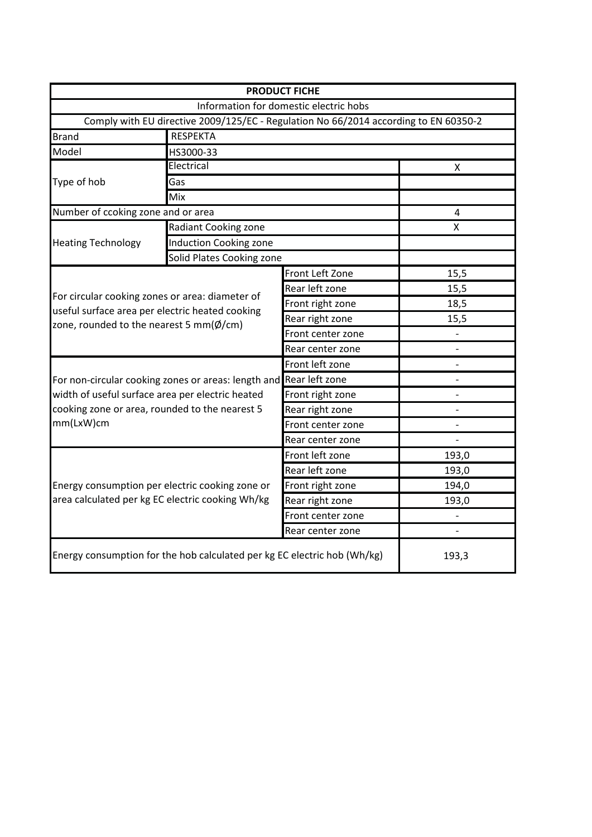|                                                                                                                 |                                                                                      | <b>PRODUCT FICHE</b>                   |                              |  |  |  |  |
|-----------------------------------------------------------------------------------------------------------------|--------------------------------------------------------------------------------------|----------------------------------------|------------------------------|--|--|--|--|
|                                                                                                                 |                                                                                      | Information for domestic electric hobs |                              |  |  |  |  |
|                                                                                                                 | Comply with EU directive 2009/125/EC - Regulation No 66/2014 according to EN 60350-2 |                                        |                              |  |  |  |  |
| <b>Brand</b>                                                                                                    | <b>RESPEKTA</b>                                                                      |                                        |                              |  |  |  |  |
| Model                                                                                                           | HS3000-33                                                                            |                                        |                              |  |  |  |  |
| Type of hob                                                                                                     | Electrical                                                                           | X                                      |                              |  |  |  |  |
|                                                                                                                 | Gas                                                                                  |                                        |                              |  |  |  |  |
|                                                                                                                 | Mix                                                                                  |                                        |                              |  |  |  |  |
| Number of ccoking zone and or area                                                                              | 4                                                                                    |                                        |                              |  |  |  |  |
| <b>Heating Technology</b>                                                                                       | Radiant Cooking zone                                                                 |                                        | X                            |  |  |  |  |
|                                                                                                                 | Induction Cooking zone                                                               |                                        |                              |  |  |  |  |
|                                                                                                                 | Solid Plates Cooking zone                                                            |                                        |                              |  |  |  |  |
|                                                                                                                 |                                                                                      | Front Left Zone                        | 15,5                         |  |  |  |  |
|                                                                                                                 |                                                                                      | Rear left zone                         | 15,5                         |  |  |  |  |
| For circular cooking zones or area: diameter of<br>useful surface area per electric heated cooking              |                                                                                      | Front right zone                       | 18,5                         |  |  |  |  |
|                                                                                                                 |                                                                                      | Rear right zone                        | 15,5                         |  |  |  |  |
| zone, rounded to the nearest 5 mm( $\phi$ /cm)                                                                  |                                                                                      | Front center zone                      |                              |  |  |  |  |
|                                                                                                                 |                                                                                      | Rear center zone                       | $\qquad \qquad \blacksquare$ |  |  |  |  |
|                                                                                                                 |                                                                                      | Front left zone                        |                              |  |  |  |  |
|                                                                                                                 | For non-circular cooking zones or areas: length and Rear left zone                   |                                        |                              |  |  |  |  |
| width of useful surface area per electric heated<br>cooking zone or area, rounded to the nearest 5<br>mm(LxW)cm |                                                                                      | Front right zone                       |                              |  |  |  |  |
|                                                                                                                 |                                                                                      | Rear right zone                        |                              |  |  |  |  |
|                                                                                                                 |                                                                                      | Front center zone                      |                              |  |  |  |  |
|                                                                                                                 |                                                                                      | Rear center zone                       |                              |  |  |  |  |
|                                                                                                                 |                                                                                      | Front left zone                        | 193,0                        |  |  |  |  |
|                                                                                                                 |                                                                                      | Rear left zone                         | 193,0                        |  |  |  |  |
|                                                                                                                 | Energy consumption per electric cooking zone or                                      | Front right zone                       | 194,0                        |  |  |  |  |
| area calculated per kg EC electric cooking Wh/kg                                                                |                                                                                      | Rear right zone                        | 193,0                        |  |  |  |  |
|                                                                                                                 |                                                                                      | Front center zone                      |                              |  |  |  |  |
|                                                                                                                 |                                                                                      | Rear center zone                       |                              |  |  |  |  |
| Energy consumption for the hob calculated per kg EC electric hob (Wh/kg)                                        | 193,3                                                                                |                                        |                              |  |  |  |  |